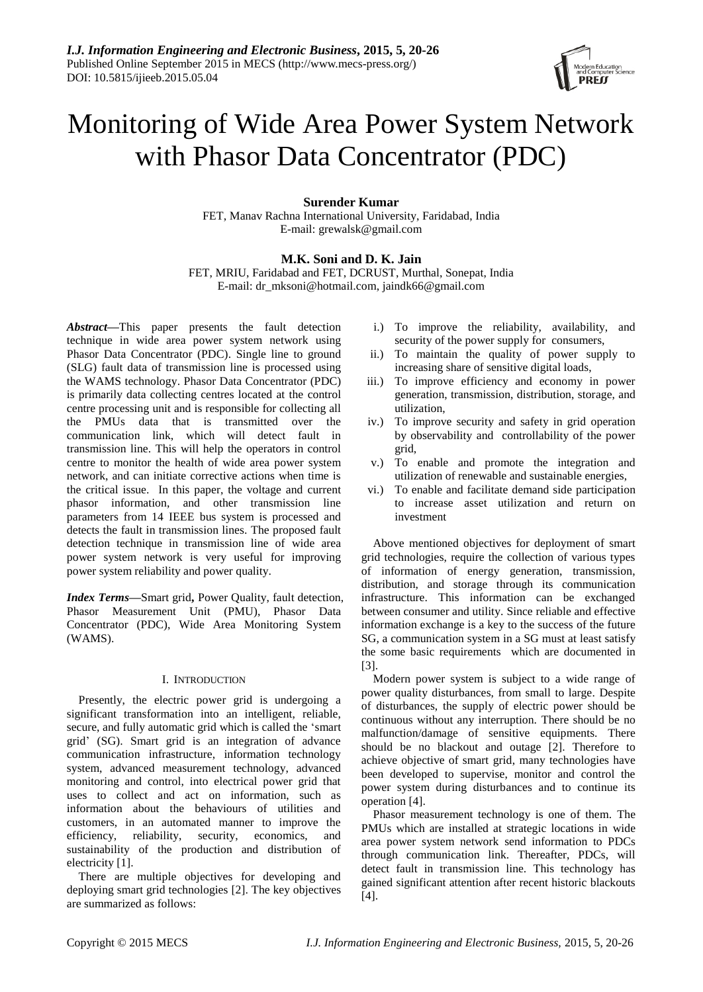

# Monitoring of Wide Area Power System Network with Phasor Data Concentrator (PDC)

## **Surender Kumar**

FET, Manav Rachna International University, Faridabad, India E-mail: grewalsk@gmail.com

# **M.K. Soni and D. K. Jain**

FET, MRIU, Faridabad and FET, DCRUST, Murthal, Sonepat, India E-mail: dr\_mksoni@hotmail.com, jaindk66@gmail.com

*Abstract***—**This paper presents the fault detection technique in wide area power system network using Phasor Data Concentrator (PDC). Single line to ground (SLG) fault data of transmission line is processed using the WAMS technology. Phasor Data Concentrator (PDC) is primarily data collecting centres located at the control centre processing unit and is responsible for collecting all the PMUs data that is transmitted over the communication link, which will detect fault in transmission line. This will help the operators in control centre to monitor the health of wide area power system network, and can initiate corrective actions when time is the critical issue. In this paper, the voltage and current phasor information, and other transmission line parameters from 14 IEEE bus system is processed and detects the fault in transmission lines. The proposed fault detection technique in transmission line of wide area power system network is very useful for improving power system reliability and power quality.

*Index Terms***—**Smart grid**,** Power Quality, fault detection, Phasor Measurement Unit (PMU), Phasor Data Concentrator (PDC), Wide Area Monitoring System (WAMS).

## I. INTRODUCTION

Presently, the electric power grid is undergoing a significant transformation into an intelligent, reliable, secure, and fully automatic grid which is called the "smart grid" (SG). Smart grid is an integration of advance communication infrastructure, information technology system, advanced measurement technology, advanced monitoring and control, into electrical power grid that uses to collect and act on information, such as information about the behaviours of utilities and customers, in an automated manner to improve the efficiency, reliability, security, economics, and sustainability of the production and distribution of electricity [1].

There are multiple objectives for developing and deploying smart grid technologies [2]. The key objectives are summarized as follows:

- i.) To improve the reliability, availability, and security of the power supply for consumers,
- ii.) To maintain the quality of power supply to increasing share of sensitive digital loads,
- iii.) To improve efficiency and economy in power generation, transmission, distribution, storage, and utilization,
- iv.) To improve security and safety in grid operation by observability and controllability of the power grid,
- v.) To enable and promote the integration and utilization of renewable and sustainable energies,
- vi.) To enable and facilitate demand side participation to increase asset utilization and return on investment

Above mentioned objectives for deployment of smart grid technologies, require the collection of various types of information of energy generation, transmission, distribution, and storage through its communication infrastructure. This information can be exchanged between consumer and utility. Since reliable and effective information exchange is a key to the success of the future SG, a communication system in a SG must at least satisfy the some basic requirements which are documented in [3].

Modern power system is subject to a wide range of power quality disturbances, from small to large. Despite of disturbances, the supply of electric power should be continuous without any interruption. There should be no malfunction/damage of sensitive equipments. There should be no blackout and outage [2]. Therefore to achieve objective of smart grid, many technologies have been developed to supervise, monitor and control the power system during disturbances and to continue its operation [4].

Phasor measurement technology is one of them. The PMUs which are installed at strategic locations in wide area power system network send information to PDCs through communication link. Thereafter, PDCs, will detect fault in transmission line. This technology has gained significant attention after recent historic blackouts [4].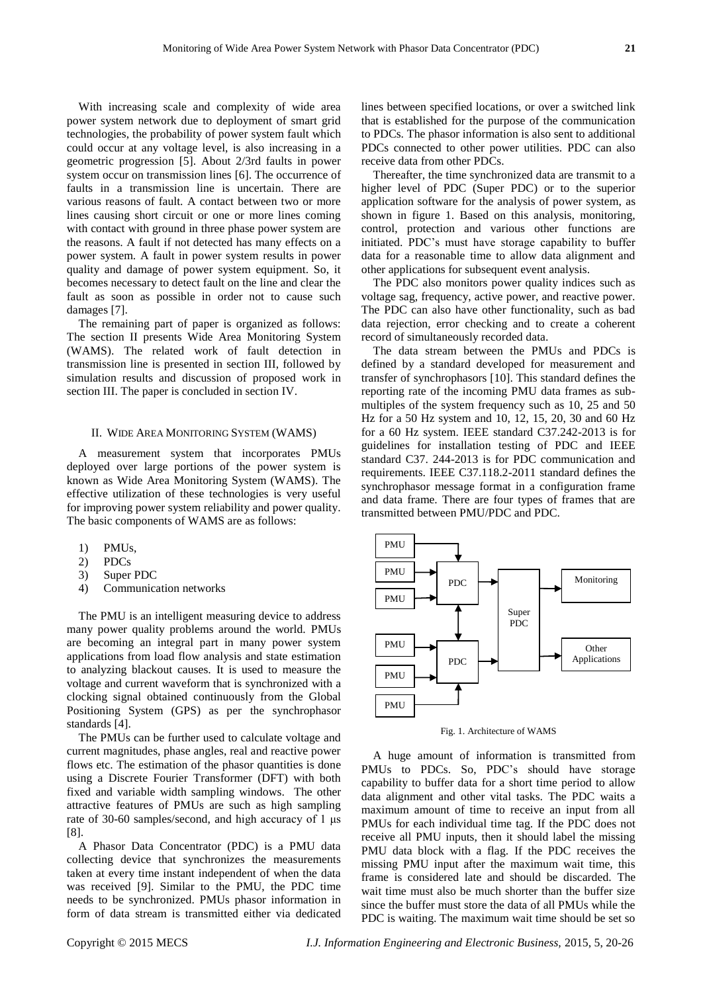With increasing scale and complexity of wide area power system network due to deployment of smart grid technologies, the probability of power system fault which could occur at any voltage level, is also increasing in a geometric progression [5]. About 2/3rd faults in power system occur on transmission lines [6]. The occurrence of faults in a transmission line is uncertain. There are various reasons of fault. A contact between two or more lines causing short circuit or one or more lines coming with contact with ground in three phase power system are the reasons. A fault if not detected has many effects on a power system. A fault in power system results in power quality and damage of power system equipment. So, it becomes necessary to detect fault on the line and clear the fault as soon as possible in order not to cause such damages [7].

The remaining part of paper is organized as follows: The section II presents Wide Area Monitoring System (WAMS). The related work of fault detection in transmission line is presented in section III, followed by simulation results and discussion of proposed work in section III. The paper is concluded in section IV.

### II. WIDE AREA MONITORING SYSTEM (WAMS)

A measurement system that incorporates PMUs deployed over large portions of the power system is known as Wide Area Monitoring System (WAMS). The effective utilization of these technologies is very useful for improving power system reliability and power quality. The basic components of WAMS are as follows:

- 1) PMUs,
- 2) PDCs
- 3) Super PDC
- 4) Communication networks

The PMU is an intelligent measuring device to address many power quality problems around the world. PMUs are becoming an integral part in many power system applications from load flow analysis and state estimation to analyzing blackout causes. It is used to measure the voltage and current waveform that is synchronized with a clocking signal obtained continuously from the Global Positioning System (GPS) as per the synchrophasor standards [4].

The PMUs can be further used to calculate voltage and current magnitudes, phase angles, real and reactive power flows etc. The estimation of the phasor quantities is done using a Discrete Fourier Transformer (DFT) with both fixed and variable width sampling windows. The other attractive features of PMUs are such as high sampling rate of 30-60 samples/second, and high accuracy of 1 μs [8].

A Phasor Data Concentrator (PDC) is a PMU data collecting device that synchronizes the measurements taken at every time instant independent of when the data was received [9]. Similar to the PMU, the PDC time needs to be synchronized. PMUs phasor information in form of data stream is transmitted either via dedicated lines between specified locations, or over a switched link that is established for the purpose of the communication to PDCs. The phasor information is also sent to additional PDCs connected to other power utilities. PDC can also receive data from other PDCs.

Thereafter, the time synchronized data are transmit to a higher level of PDC (Super PDC) or to the superior application software for the analysis of power system, as shown in figure 1. Based on this analysis, monitoring, control, protection and various other functions are initiated. PDC"s must have storage capability to buffer data for a reasonable time to allow data alignment and other applications for subsequent event analysis.

The PDC also monitors power quality indices such as voltage sag, frequency, active power, and reactive power. The PDC can also have other functionality, such as bad data rejection, error checking and to create a coherent record of simultaneously recorded data.

The data stream between the PMUs and PDCs is defined by a standard developed for measurement and transfer of synchrophasors [10]. This standard defines the reporting rate of the incoming PMU data frames as submultiples of the system frequency such as 10, 25 and 50 Hz for a 50 Hz system and 10, 12, 15, 20, 30 and 60 Hz for a 60 Hz system. IEEE standard C37.242-2013 is for guidelines for installation testing of PDC and IEEE standard C37. 244-2013 is for PDC communication and requirements. IEEE C37.118.2-2011 standard defines the synchrophasor message format in a configuration frame and data frame. There are four types of frames that are transmitted between PMU/PDC and PDC.



Fig. 1. Architecture of WAMS

A huge amount of information is transmitted from PMUs to PDCs. So, PDC's should have storage capability to buffer data for a short time period to allow data alignment and other vital tasks. The PDC waits a maximum amount of time to receive an input from all PMUs for each individual time tag. If the PDC does not receive all PMU inputs, then it should label the missing PMU data block with a flag. If the PDC receives the missing PMU input after the maximum wait time, this frame is considered late and should be discarded. The wait time must also be much shorter than the buffer size since the buffer must store the data of all PMUs while the PDC is waiting. The maximum wait time should be set so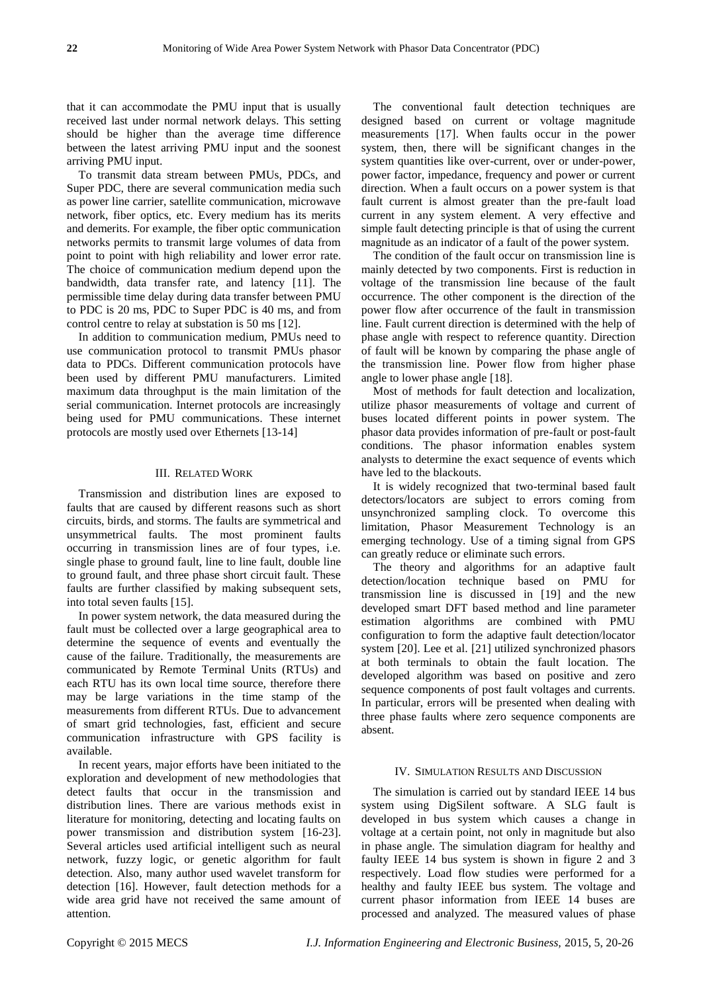that it can accommodate the PMU input that is usually received last under normal network delays. This setting should be higher than the average time difference between the latest arriving PMU input and the soonest arriving PMU input.

To transmit data stream between PMUs, PDCs, and Super PDC, there are several communication media such as power line carrier, satellite communication, microwave network, fiber optics, etc. Every medium has its merits and demerits. For example, the fiber optic communication networks permits to transmit large volumes of data from point to point with high reliability and lower error rate. The choice of communication medium depend upon the bandwidth, data transfer rate, and latency [11]. The permissible time delay during data transfer between PMU to PDC is 20 ms, PDC to Super PDC is 40 ms, and from control centre to relay at substation is 50 ms [12].

In addition to communication medium, PMUs need to use communication protocol to transmit PMUs phasor data to PDCs. Different communication protocols have been used by different PMU manufacturers. Limited maximum data throughput is the main limitation of the serial communication. Internet protocols are increasingly being used for PMU communications. These internet protocols are mostly used over Ethernets [13-14]

## III. RELATED WORK

Transmission and distribution lines are exposed to faults that are caused by different reasons such as short circuits, birds, and storms. The faults are symmetrical and unsymmetrical faults. The most prominent faults occurring in transmission lines are of four types, i.e. single phase to ground fault, line to line fault, double line to ground fault, and three phase short circuit fault. These faults are further classified by making subsequent sets, into total seven faults [15].

In power system network, the data measured during the fault must be collected over a large geographical area to determine the sequence of events and eventually the cause of the failure. Traditionally, the measurements are communicated by Remote Terminal Units (RTUs) and each RTU has its own local time source, therefore there may be large variations in the time stamp of the measurements from different RTUs. Due to advancement of smart grid technologies, fast, efficient and secure communication infrastructure with GPS facility is available.

In recent years, major efforts have been initiated to the exploration and development of new methodologies that detect faults that occur in the transmission and distribution lines. There are various methods exist in literature for monitoring, detecting and locating faults on power transmission and distribution system [16-23]. Several articles used artificial intelligent such as neural network, fuzzy logic, or genetic algorithm for fault detection. Also, many author used wavelet transform for detection [16]. However, fault detection methods for a wide area grid have not received the same amount of attention.

The conventional fault detection techniques are designed based on current or voltage magnitude measurements [17]. When faults occur in the power system, then, there will be significant changes in the system quantities like over-current, over or under-power, power factor, impedance, frequency and power or current direction. When a fault occurs on a power system is that fault current is almost greater than the pre-fault load current in any system element. A very effective and simple fault detecting principle is that of using the current magnitude as an indicator of a fault of the power system.

The condition of the fault occur on transmission line is mainly detected by two components. First is reduction in voltage of the transmission line because of the fault occurrence. The other component is the direction of the power flow after occurrence of the fault in transmission line. Fault current direction is determined with the help of phase angle with respect to reference quantity. Direction of fault will be known by comparing the phase angle of the transmission line. Power flow from higher phase angle to lower phase angle [18].

Most of methods for fault detection and localization, utilize phasor measurements of voltage and current of buses located different points in power system. The phasor data provides information of pre-fault or post-fault conditions. The phasor information enables system analysts to determine the exact sequence of events which have led to the blackouts.

It is widely recognized that two-terminal based fault detectors/locators are subject to errors coming from unsynchronized sampling clock. To overcome this limitation, Phasor Measurement Technology is an emerging technology. Use of a timing signal from GPS can greatly reduce or eliminate such errors.

The theory and algorithms for an adaptive fault detection/location technique based on PMU for transmission line is discussed in [19] and the new developed smart DFT based method and line parameter estimation algorithms are combined with PMU configuration to form the adaptive fault detection/locator system [20]. Lee et al. [21] utilized synchronized phasors at both terminals to obtain the fault location. The developed algorithm was based on positive and zero sequence components of post fault voltages and currents. In particular, errors will be presented when dealing with three phase faults where zero sequence components are absent.

#### IV. SIMULATION RESULTS AND DISCUSSION

The simulation is carried out by standard IEEE 14 bus system using DigSilent software. A SLG fault is developed in bus system which causes a change in voltage at a certain point, not only in magnitude but also in phase angle. The simulation diagram for healthy and faulty IEEE 14 bus system is shown in figure 2 and 3 respectively. Load flow studies were performed for a healthy and faulty IEEE bus system. The voltage and current phasor information from IEEE 14 buses are processed and analyzed. The measured values of phase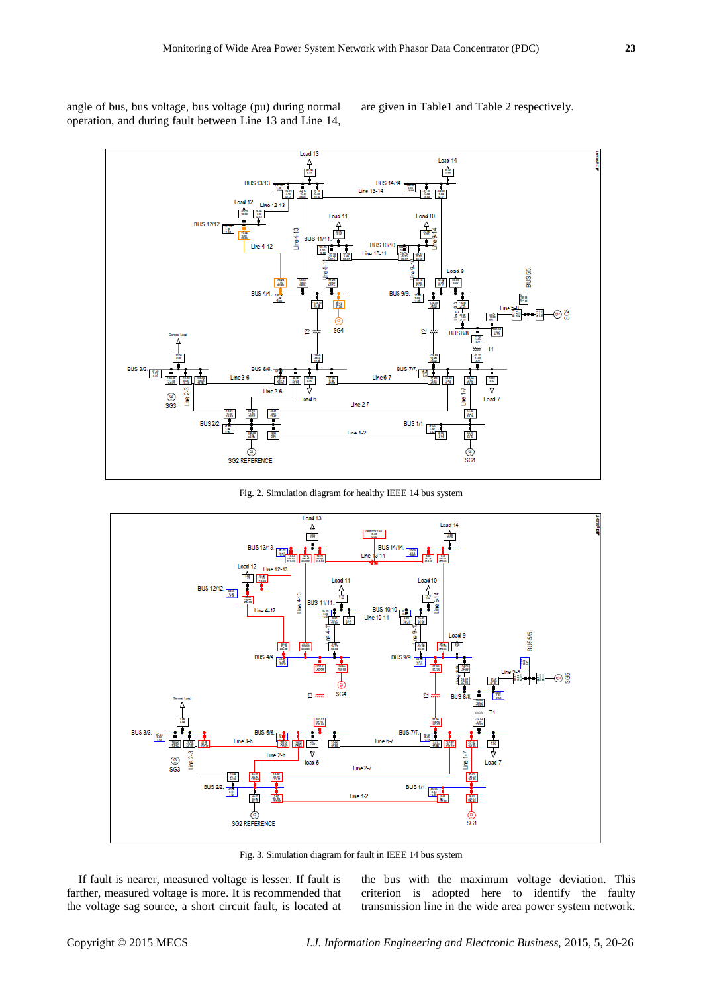angle of bus, bus voltage, bus voltage (pu) during normal operation, and during fault between Line 13 and Line 14,

are given in Table1 and Table 2 respectively.



Fig. 2. Simulation diagram for healthy IEEE 14 bus system



Fig. 3. Simulation diagram for fault in IEEE 14 bus system

If fault is nearer, measured voltage is lesser. If fault is farther, measured voltage is more. It is recommended that the voltage sag source, a short circuit fault, is located at the bus with the maximum voltage deviation. This criterion is adopted here to identify the faulty transmission line in the wide area power system network.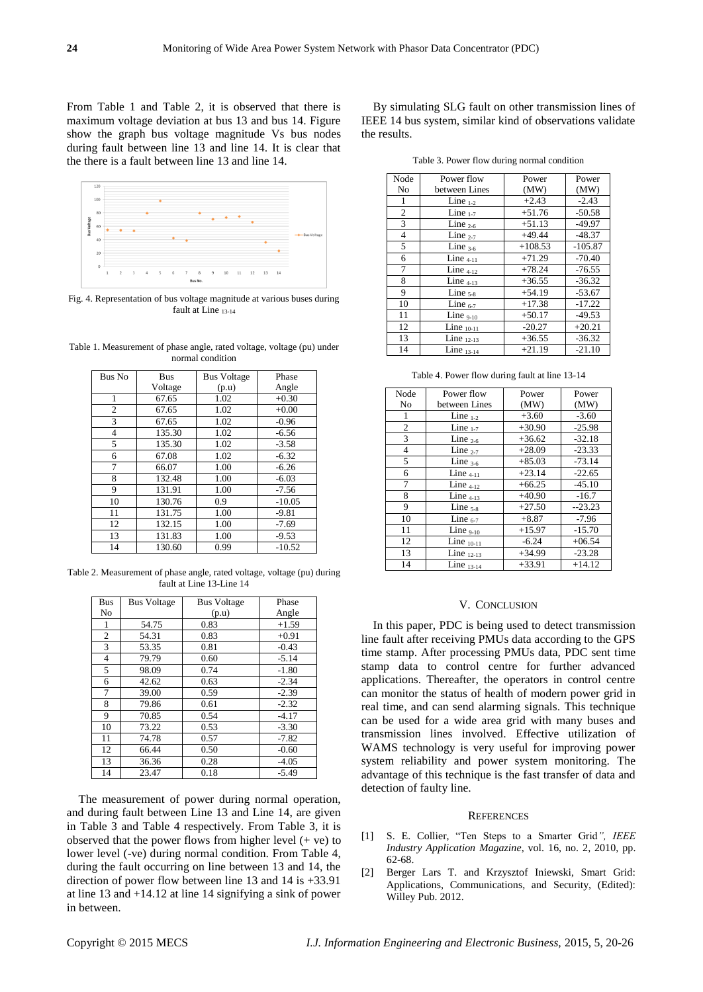From Table 1 and Table 2, it is observed that there is maximum voltage deviation at bus 13 and bus 14. Figure show the graph bus voltage magnitude Vs bus nodes during fault between line 13 and line 14. It is clear that the there is a fault between line 13 and line 14.



Fig. 4. Representation of bus voltage magnitude at various buses during fault at Line 13-14

Table 1. Measurement of phase angle, rated voltage, voltage (pu) under normal condition

| Bus No         | <b>Bus</b> | <b>Bus Voltage</b> | Phase    |
|----------------|------------|--------------------|----------|
|                | Voltage    | (p.u)              | Angle    |
| 1              | 67.65      | 1.02               | $+0.30$  |
| $\overline{c}$ | 67.65      | 1.02               | $+0.00$  |
| 3              | 67.65      | 1.02               | $-0.96$  |
| $\overline{4}$ | 135.30     | 1.02               | $-6.56$  |
| 5              | 135.30     | 1.02               | $-3.58$  |
| 6              | 67.08      | 1.02               | $-6.32$  |
| 7              | 66.07      | 1.00               | $-6.26$  |
| 8              | 132.48     | 1.00               | $-6.03$  |
| 9              | 131.91     | 1.00               | $-7.56$  |
| 10             | 130.76     | 0.9                | $-10.05$ |
| 11             | 131.75     | 1.00               | $-9.81$  |
| 12             | 132.15     | 1.00               | $-7.69$  |
| 13             | 131.83     | 1.00               | $-9.53$  |
| 14             | 130.60     | 0.99               | $-10.52$ |

Table 2. Measurement of phase angle, rated voltage, voltage (pu) during fault at Line 13-Line 14

| Bus | <b>Bus Voltage</b> | <b>Bus Voltage</b> | Phase   |
|-----|--------------------|--------------------|---------|
| No  |                    | (p.u)              | Angle   |
| 1   | 54.75              | 0.83               | $+1.59$ |
| 2   | 54.31              | 0.83               | $+0.91$ |
| 3   | 53.35              | 0.81               | $-0.43$ |
| 4   | 79.79              | 0.60               | $-5.14$ |
| 5   | 98.09              | 0.74               | $-1.80$ |
| 6   | 42.62              | 0.63               | $-2.34$ |
| 7   | 39.00              | 0.59               | $-2.39$ |
| 8   | 79.86              | 0.61               | $-2.32$ |
| 9   | 70.85              | 0.54               | $-4.17$ |
| 10  | 73.22              | 0.53               | $-3.30$ |
| 11  | 74.78              | 0.57               | $-7.82$ |
| 12  | 66.44              | 0.50               | $-0.60$ |
| 13  | 36.36              | 0.28               | $-4.05$ |
| 14  | 23.47              | 0.18               | $-5.49$ |

The measurement of power during normal operation, and during fault between Line 13 and Line 14, are given in Table 3 and Table 4 respectively. From Table 3, it is observed that the power flows from higher level  $(+$  ve) to lower level (-ve) during normal condition. From Table 4, during the fault occurring on line between 13 and 14, the direction of power flow between line 13 and 14 is +33.91 at line 13 and +14.12 at line 14 signifying a sink of power in between.

By simulating SLG fault on other transmission lines of IEEE 14 bus system, similar kind of observations validate the results.

Table 3. Power flow during normal condition

| Node           | Power flow      | Power     | Power     |
|----------------|-----------------|-----------|-----------|
| N <sub>0</sub> | between Lines   | (MW)      | (MW)      |
| 1              | Line $_{1-2}$   | $+2.43$   | $-2.43$   |
| 2              | Line $_{1-7}$   | $+51.76$  | $-50.58$  |
| 3              | Line $_{2-6}$   | $+51.13$  | $-49.97$  |
| $\overline{4}$ | Line $2-7$      | $+49.44$  | $-48.37$  |
| 5              | Line $3-6$      | $+108.53$ | $-105.87$ |
| 6              | Line $4-11$     | $+71.29$  | $-70.40$  |
| 7              | Line $4-12$     | $+78.24$  | $-76.55$  |
| 8              | Line $4-13$     | $+36.55$  | $-36.32$  |
| 9              | Line $5-8$      | $+54.19$  | $-53.67$  |
| 10             | Line $_{6-7}$   | $+17.38$  | $-17.22$  |
| 11             | Line $9-10$     | $+50.17$  | $-49.53$  |
| 12             | Line $_{10-11}$ | $-20.27$  | $+20.21$  |
| 13             | Line $_{12-13}$ | $+36.55$  | $-36.32$  |
| 14             | Line $_{13-14}$ | $+21.19$  | $-21.10$  |

Table 4. Power flow during fault at line 13-14

| Power flow      | Power       | Power    |
|-----------------|-------------|----------|
| between Lines   | (MW)        | (MW)     |
| Line $_{1-2}$   | $+3.60$     | $-3.60$  |
| Line $_{1-7}$   | $+30.90$    | $-25.98$ |
| Line $_{2-6}$   | $+36.62$    | $-32.18$ |
| Line $_{2-7}$   | $+28.09$    | $-23.33$ |
| Line $3-6$      | $+85.03$    | $-73.14$ |
| Line $4-11$     | $+23.14$    | $-22.65$ |
| Line $4-12$     | $+66.25$    | $-45.10$ |
| Line $4-13$     | $+40.90$    | $-16.7$  |
| Line $5-8$      | $+27.50$    | $-23.23$ |
| Line $_{6-7}$   | $+8.87$     | $-7.96$  |
|                 | $+15.97$    | $-15.70$ |
| Line $_{10-11}$ | $-6.24$     | $+06.54$ |
| Line $_{12-13}$ | $+34.99$    | $-23.28$ |
| Line $_{13-14}$ | $+33.91$    | $+14.12$ |
|                 | Line $9-10$ |          |

#### V. CONCLUSION

In this paper, PDC is being used to detect transmission line fault after receiving PMUs data according to the GPS time stamp. After processing PMUs data, PDC sent time stamp data to control centre for further advanced applications. Thereafter, the operators in control centre can monitor the status of health of modern power grid in real time, and can send alarming signals. This technique can be used for a wide area grid with many buses and transmission lines involved. Effective utilization of WAMS technology is very useful for improving power system reliability and power system monitoring. The advantage of this technique is the fast transfer of data and detection of faulty line.

## **REFERENCES**

- [1] S. E. Collier, "Ten Steps to a Smarter Grid*", IEEE Industry Application Magazine*, vol. 16, no. 2, 2010, pp. 62-68.
- [2] Berger Lars T. and Krzysztof Iniewski, Smart Grid: Applications, Communications, and Security, (Edited): Willey Pub. 2012.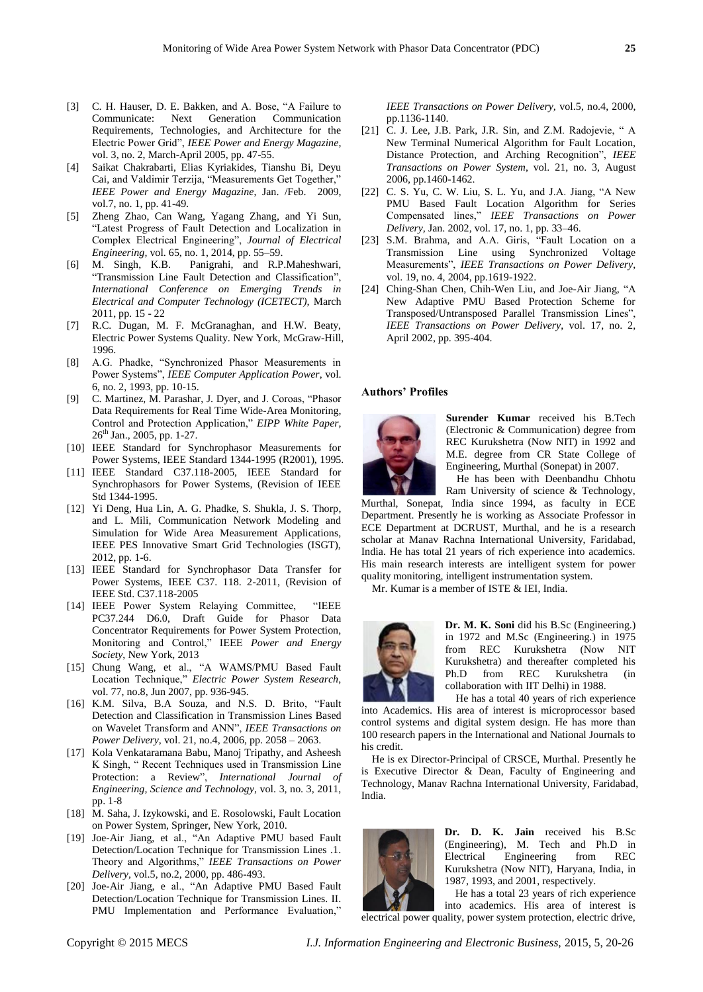- [3] C. H. Hauser, D. E. Bakken, and A. Bose, "A Failure to Communicate: Next Generation Communication Requirements, Technologies, and Architecture for the Electric Power Grid", *IEEE Power and Energy Magazine*, vol. 3, no. 2, March-April 2005, pp. 47-55.
- [4] Saikat Chakrabarti, Elias Kyriakides, Tianshu Bi, Deyu Cai, and Valdimir Terzija, "Measurements Get Together," *IEEE Power and Energy Magazine*, Jan. /Feb. 2009, vol.7, no. 1, pp. 41-49.
- [5] Zheng Zhao, Can Wang, Yagang Zhang, and Yi Sun, "Latest Progress of Fault Detection and Localization in Complex Electrical Engineering", *Journal of Electrical Engineering,* vol. 65, no. 1, 2014, pp. 55–59.
- [6] M. Singh, K.B. Panigrahi, and R.P.Maheshwari, "Transmission Line Fault Detection and Classification", *International Conference on Emerging Trends in Electrical and Computer Technology (ICETECT),* March 2011, pp. 15 - 22
- [7] R.C. Dugan, M. F. McGranaghan, and H.W. Beaty, Electric Power Systems Quality. New York, McGraw-Hill, 1996.
- [8] A.G. Phadke, "Synchronized Phasor Measurements in Power Systems", *IEEE Computer Application Power*, vol. 6, no. 2, 1993, pp. 10-15.
- [9] C. Martinez, M. Parashar, J. Dyer, and J. Coroas, "Phasor Data Requirements for Real Time Wide-Area Monitoring, Control and Protection Application," *EIPP White Paper*, 26<sup>th</sup> Jan., 2005, pp. 1-27.
- [10] IEEE Standard for Synchrophasor Measurements for Power Systems, IEEE Standard 1344-1995 (R2001), 1995.
- [11] IEEE Standard C37.118-2005, IEEE Standard for Synchrophasors for Power Systems, (Revision of IEEE Std 1344-1995.
- [12] Yi Deng, Hua Lin, A. G. Phadke, S. Shukla, J. S. Thorp, and L. Mili, Communication Network Modeling and Simulation for Wide Area Measurement Applications, IEEE PES Innovative Smart Grid Technologies (ISGT), 2012, pp. 1-6.
- [13] IEEE Standard for Synchrophasor Data Transfer for Power Systems, IEEE C37. 118. 2-2011, (Revision of IEEE Std. C37.118-2005
- [14] IEEE Power System Relaying Committee, "IEEE PC37.244 D6.0, Draft Guide for Phasor Data Concentrator Requirements for Power System Protection, Monitoring and Control," IEEE *Power and Energy Society*, New York, 2013
- [15] Chung Wang, et al., "A WAMS/PMU Based Fault Location Technique," *Electric Power System Research*, vol. 77, no.8, Jun 2007, pp. 936-945.
- [16] K.M. Silva, B.A Souza, and N.S. D. Brito, "Fault Detection and Classification in Transmission Lines Based on Wavelet Transform and ANN", *IEEE Transactions on Power Delivery*, vol. 21, no.4, 2006, pp. 2058 – 2063.
- [17] Kola Venkataramana Babu, Manoj Tripathy, and Asheesh K Singh, " Recent Techniques used in Transmission Line Protection: a Review", *International Journal of Engineering, Science and Technology*, vol. 3, no. 3, 2011, pp. 1-8
- [18] M. Saha, J. Izykowski, and E. Rosolowski, Fault Location on Power System, Springer, New York, 2010.
- [19] Joe-Air Jiang, et al., "An Adaptive PMU based Fault Detection/Location Technique for Transmission Lines .1. Theory and Algorithms," *IEEE Transactions on Power Delivery,* vol.5, no.2, 2000, pp. 486-493.
- [20] Joe-Air Jiang, e al., "An Adaptive PMU Based Fault Detection/Location Technique for Transmission Lines. II. PMU Implementation and Performance Evaluation,"

*IEEE Transactions on Power Delivery,* vol.5, no.4, 2000, pp.1136-1140.

- [21] C. J. Lee, J.B. Park, J.R. Sin, and Z.M. Radojevie, "A New Terminal Numerical Algorithm for Fault Location, Distance Protection, and Arching Recognition", *IEEE Transactions on Power System*, vol. 21, no. 3, August 2006, pp.1460-1462.
- [22] C. S. Yu, C. W. Liu, S. L. Yu, and J.A. Jiang, "A New PMU Based Fault Location Algorithm for Series Compensated lines," *IEEE Transactions on Power Delivery,* Jan. 2002, vol. 17, no. 1, pp. 33–46.
- [23] S.M. Brahma, and A.A. Giris, "Fault Location on a Transmission Line using Synchronized Voltage Measurements", *IEEE Transactions on Power Delivery*, vol. 19, no. 4, 2004, pp.1619-1922.
- [24] Ching-Shan Chen, Chih-Wen Liu, and Joe-Air Jiang, "A New Adaptive PMU Based Protection Scheme for Transposed/Untransposed Parallel Transmission Lines", *IEEE Transactions on Power Delivery*, vol. 17, no. 2, April 2002, pp. 395-404.

## **Authors' Profiles**



**Surender Kumar** received his B.Tech (Electronic & Communication) degree from REC Kurukshetra (Now NIT) in 1992 and M.E. degree from CR State College of Engineering, Murthal (Sonepat) in 2007.

He has been with Deenbandhu Chhotu Ram University of science & Technology,

Murthal, Sonepat, India since 1994, as faculty in ECE Department. Presently he is working as Associate Professor in ECE Department at DCRUST, Murthal, and he is a research scholar at Manav Rachna International University, Faridabad, India. He has total 21 years of rich experience into academics. His main research interests are intelligent system for power quality monitoring, intelligent instrumentation system.

Mr. Kumar is a member of ISTE & IEI, India.



**Dr. M. K. Soni** did his B.Sc (Engineering.) in 1972 and M.Sc (Engineering.) in 1975 from REC Kurukshetra (Now NIT Kurukshetra) and thereafter completed his Ph.D from REC Kurukshetra collaboration with IIT Delhi) in 1988. He has a total 40 years of rich experience

into Academics. His area of interest is microprocessor based control systems and digital system design. He has more than 100 research papers in the International and National Journals to his credit.

He is ex Director-Principal of CRSCE, Murthal. Presently he is Executive Director & Dean, Faculty of Engineering and Technology, Manav Rachna International University, Faridabad, India.



**Dr. D. K. Jain** received his B.Sc (Engineering), M. Tech and Ph.D in Electrical Engineering from REC Kurukshetra (Now NIT), Haryana, India, in 1987, 1993, and 2001, respectively.

He has a total 23 years of rich experience into academics. His area of interest is electrical power quality, power system protection, electric drive,

Copyright © 2015 MECS *I.J. Information Engineering and Electronic Business,* 2015, 5, 20-26